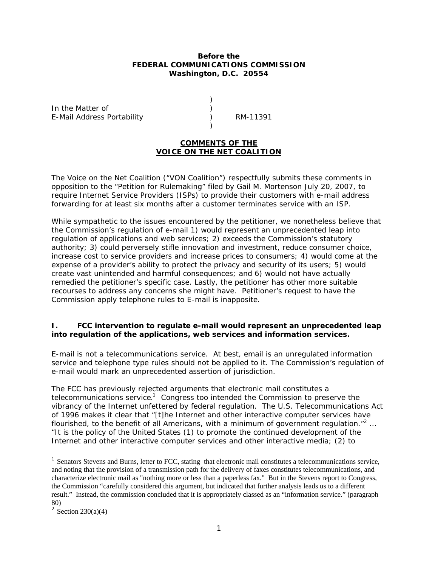#### **Before the FEDERAL COMMUNICATIONS COMMISSION Washington, D.C. 20554**

) )

)

In the Matter of E-Mail Address Portability

) RM-11391

# **COMMENTS OF THE VOICE ON THE NET COALITION**

The Voice on the Net Coalition ("VON Coalition") respectfully submits these comments in opposition to the "Petition for Rulemaking" filed by Gail M. Mortenson July 20, 2007, to require Internet Service Providers (ISPs) to provide their customers with e-mail address forwarding for at least six months after a customer terminates service with an ISP.

While sympathetic to the issues encountered by the petitioner, we nonetheless believe that the Commission's regulation of e-mail 1) would represent an unprecedented leap into regulation of applications and web services; 2) exceeds the Commission's statutory authority; 3) could perversely stifle innovation and investment, reduce consumer choice, increase cost to service providers and increase prices to consumers; 4) would come at the expense of a provider's ability to protect the privacy and security of its users; 5) would create vast unintended and harmful consequences; and 6) would not have actually remedied the petitioner's specific case. Lastly, the petitioner has other more suitable recourses to address any concerns she might have. Petitioner's request to have the Commission apply telephone rules to E-mail is inapposite.

## **I. FCC intervention to regulate e-mail would represent an unprecedented leap into regulation of the applications, web services and information services.**

E-mail is not a telecommunications service. At best, email is an unregulated information service and telephone type rules should not be applied to it. The Commission's regulation of e-mail would mark an unprecedented assertion of jurisdiction.

The FCC has previously rejected arguments that electronic mail constitutes a telecommunications service.<sup>1</sup> Congress too intended the Commission to preserve the vibrancy of the Internet unfettered by federal regulation. The U.S. *Telecommunications Act of 1996* makes it clear that "[t]he Internet and other interactive computer services have flourished, to the benefit of all Americans, with a minimum of government regulation."<sup>2</sup> ... "It is the policy of the United States (1) to promote the continued development of the Internet and other interactive computer services and other interactive media; (2) to

<sup>&</sup>lt;sup>1</sup> Senators Stevens and Burns, letter to FCC, stating that electronic mail constitutes a telecommunications service, and noting that the provision of a transmission path for the delivery of faxes constitutes telecommunications, and characterize electronic mail as "nothing more or less than a paperless fax." But in the Stevens report to Congress, the Commission "carefully considered this argument, but indicated that further analysis leads us to a different result." Instead, the commission concluded that it is appropriately classed as an "information service." (paragraph 80)

<sup>&</sup>lt;sup>2</sup> Section 230(a)(4)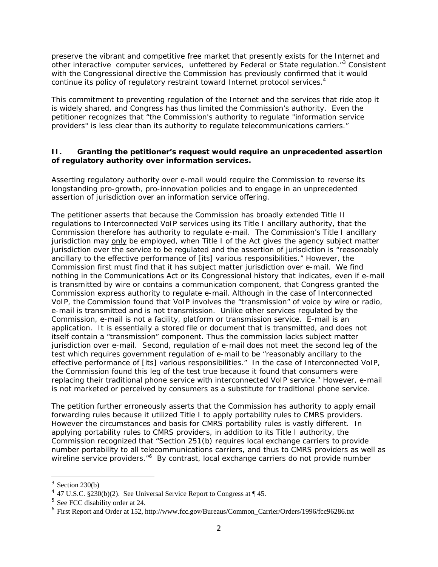preserve the vibrant and competitive free market that presently exists for the Internet and other interactive computer services, unfettered by Federal or State regulation."<sup>3</sup> Consistent with the Congressional directive the Commission has previously confirmed that it would continue its policy of regulatory restraint toward Internet protocol services.<sup>4</sup>

This commitment to preventing regulation of the Internet and the services that ride atop it is widely shared, and Congress has thus limited the Commission's authority. Even the petitioner recognizes that "the Commission's authority to regulate "information service providers" is less clear than its authority to regulate telecommunications carriers."

# **II. Granting the petitioner's request would require an unprecedented assertion of regulatory authority over information services.**

Asserting regulatory authority over e-mail would require the Commission to reverse its longstanding pro-growth, pro-innovation policies and to engage in an unprecedented assertion of jurisdiction over an information service offering.

The petitioner asserts that because the Commission has broadly extended Title II regulations to Interconnected VoIP services using its Title I ancillary authority, that the Commission therefore has authority to regulate e-mail. The Commission's Title I ancillary jurisdiction may only be employed, when Title I of the Act gives the agency subject matter jurisdiction over the service to be regulated and the assertion of jurisdiction is "reasonably ancillary to the effective performance of [its] various responsibilities." However, the Commission first must find that it has subject matter jurisdiction over e-mail. We find nothing in the Communications Act or its Congressional history that indicates, even if e-mail is transmitted by wire or contains a communication component, that Congress granted the Commission express authority to regulate e-mail. Although in the case of Interconnected VoIP, the Commission found that VoIP involves the "transmission" of voice by wire or radio, e-mail is transmitted and is not transmission. Unlike other services regulated by the Commission, e-mail is not a facility, platform or transmission service. E-mail is an application. It is essentially a stored file or document that is transmitted, and does not itself contain a "transmission" component. Thus the commission lacks subject matter jurisdiction over e-mail. Second, regulation of e-mail does not meet the second leg of the test which requires government regulation of e-mail to be "reasonably ancillary to the effective performance of [its] various responsibilities." In the case of Interconnected VoIP, the Commission found this leg of the test true because it found that consumers were replacing their traditional phone service with interconnected VoIP service.<sup>5</sup> However, e-mail is not marketed or perceived by consumers as a substitute for traditional phone service.

The petition further erroneously asserts that the Commission has authority to apply email forwarding rules because it utilized Title I to apply portability rules to CMRS providers. However the circumstances and basis for CMRS portability rules is vastly different. In applying portability rules to CMRS providers, in addition to its Title I authority, the Commission recognized that "Section 251(b) requires local exchange carriers to provide number portability to all telecommunications carriers, and thus to CMRS providers as well as wireline service providers."<sup>6</sup> By contrast, local exchange carriers do not provide number

 $3$  Section 230(b)

<sup>&</sup>lt;sup>4</sup> 47 U.S.C. §230(b)(2). See Universal Service Report to Congress at  $\P$  45.

<sup>5</sup> See FCC disability order at 24.

<sup>6</sup> First Report and Order at 152, http://www.fcc.gov/Bureaus/Common\_Carrier/Orders/1996/fcc96286.txt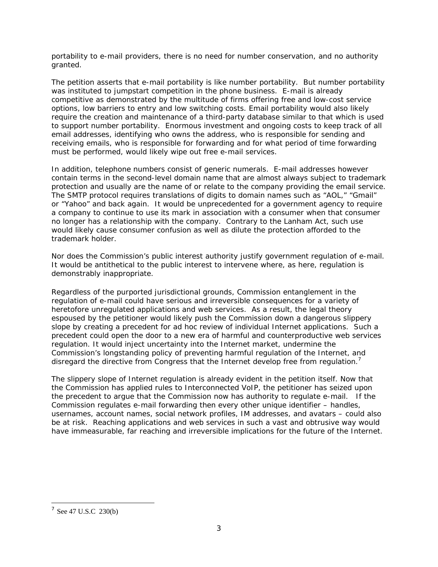portability to e-mail providers, there is no need for number conservation, and no authority granted.

The petition asserts that e-mail portability is like number portability. But number portability was instituted to jumpstart competition in the phone business. E-mail is already competitive as demonstrated by the multitude of firms offering free and low-cost service options, low barriers to entry and low switching costs. Email portability would also likely require the creation and maintenance of a third-party database similar to that which is used to support number portability. Enormous investment and ongoing costs to keep track of all email addresses, identifying who owns the address, who is responsible for sending and receiving emails, who is responsible for forwarding and for what period of time forwarding must be performed, would likely wipe out free e-mail services.

In addition, telephone numbers consist of generic numerals. E-mail addresses however contain terms in the second-level domain name that are almost always subject to trademark protection and usually are the name of or relate to the company providing the email service. The SMTP protocol requires translations of digits to domain names such as "AOL," "Gmail" or "Yahoo" and back again. It would be unprecedented for a government agency to require a company to continue to use its mark in association with a consumer when that consumer no longer has a relationship with the company. Contrary to the Lanham Act, such use would likely cause consumer confusion as well as dilute the protection afforded to the trademark holder.

Nor does the Commission's public interest authority justify government regulation of e-mail. It would be antithetical to the public interest to intervene where, as here, regulation is demonstrably inappropriate.

Regardless of the purported jurisdictional grounds, Commission entanglement in the regulation of e-mail could have serious and irreversible consequences for a variety of heretofore unregulated applications and web services. As a result, the legal theory espoused by the petitioner would likely push the Commission down a dangerous slippery slope by creating a precedent for ad hoc review of individual Internet applications. Such a precedent could open the door to a new era of harmful and counterproductive web services regulation. It would inject uncertainty into the Internet market, undermine the Commission's longstanding policy of preventing harmful regulation of the Internet, and disregard the directive from Congress that the Internet develop free from regulation.<sup>7</sup>

The slippery slope of Internet regulation is already evident in the petition itself. Now that the Commission has applied rules to Interconnected VoIP, the petitioner has seized upon the precedent to argue that the Commission now has authority to regulate e-mail. If the Commission regulates e-mail forwarding then every other unique identifier – handles, usernames, account names, social network profiles, IM addresses, and avatars – could also be at risk. Reaching applications and web services in such a vast and obtrusive way would have immeasurable, far reaching and irreversible implications for the future of the Internet.

 $^7$  See 47 U.S.C 230(b)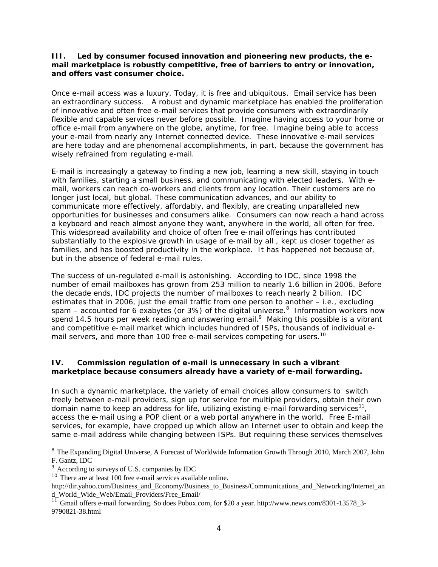## **III. Led by consumer focused innovation and pioneering new products, the email marketplace is robustly competitive, free of barriers to entry or innovation, and offers vast consumer choice.**

Once e-mail access was a luxury. Today, it is free and ubiquitous. Email service has been an extraordinary success. A robust and dynamic marketplace has enabled the proliferation of innovative and often free e-mail services that provide consumers with extraordinarily flexible and capable services never before possible. Imagine having access to your home or office e-mail from anywhere on the globe, anytime, for free. Imagine being able to access your e-mail from nearly any Internet connected device. These innovative e-mail services are here today and are phenomenal accomplishments, in part, because the government has wisely refrained from regulating e-mail.

E-mail is increasingly a gateway to finding a new job, learning a new skill, staying in touch with families, starting a small business, and communicating with elected leaders. With email, workers can reach co-workers and clients from any location. Their customers are no longer just local, but global. These communication advances, and our ability to communicate more effectively, affordably, and flexibly, are creating unparalleled new opportunities for businesses and consumers alike. Consumers can now reach a hand across a keyboard and reach almost anyone they want, anywhere in the world, all often for free. This widespread availability and choice of often free e-mail offerings has contributed substantially to the explosive growth in usage of e-mail by all , kept us closer together as families, and has boosted productivity in the workplace. It has happened not because of, but in the absence of federal e-mail rules.

The success of un-regulated e-mail is astonishing. According to IDC, since 1998 the number of email mailboxes has grown from 253 million to nearly 1.6 billion in 2006. Before the decade ends, IDC projects the number of mailboxes to reach nearly 2 billion. IDC estimates that in 2006, just the email traffic from one person to another – i.e., excluding spam – accounted for 6 exabytes (or 3%) of the digital universe.<sup>8</sup> Information workers now spend 14.5 hours per week reading and answering  $email.<sup>9</sup>$  Making this possible is a vibrant and competitive e-mail market which includes hundred of ISPs, thousands of individual email servers, and more than 100 free e-mail services competing for users.<sup>10</sup>

## **IV. Commission regulation of e-mail is unnecessary in such a vibrant marketplace because consumers already have a variety of e-mail forwarding.**

In such a dynamic marketplace, the variety of email choices allow consumers to switch freely between e-mail providers, sign up for service for multiple providers, obtain their own domain name to keep an address for life, utilizing existing e-mail forwarding services<sup>11</sup>, access the e-mail using a POP client or a web portal anywhere in the world. Free E-mail services, for example, have cropped up which allow an Internet user to obtain and keep the same e-mail address while changing between ISPs. But requiring these services themselves

<sup>&</sup>lt;sup>8</sup> The Expanding Digital Universe, A Forecast of Worldwide Information Growth Through 2010, March 2007, John F. Gantz, IDC

<sup>9</sup> According to surveys of U.S. companies by IDC

<sup>&</sup>lt;sup>10</sup> There are at least 100 free e-mail services available online.

http://dir.yahoo.com/Business\_and\_Economy/Business\_to\_Business/Communications\_and\_Networking/Internet\_an d\_World\_Wide\_Web/Email\_Providers/Free\_Email/

<sup>&</sup>lt;sup>11</sup> Gmail offers e-mail forwarding. So does Pobox.com, for \$20 a year. http://www.news.com/8301-13578\_3-9790821-38.html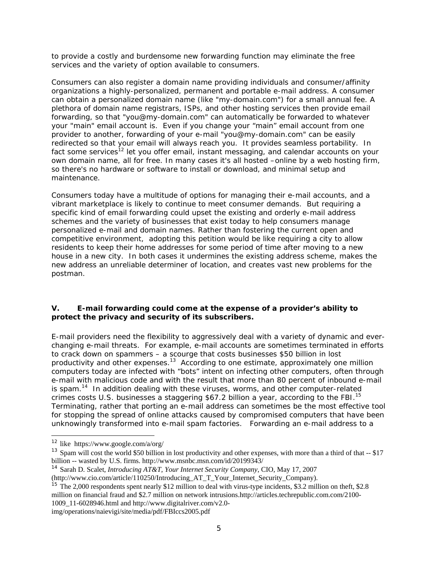to provide a costly and burdensome new forwarding function may eliminate the free services and the variety of option available to consumers.

Consumers can also register a domain name providing individuals and consumer/affinity organizations a highly-personalized, permanent and portable e-mail address. A consumer can obtain a personalized domain name (like "my-domain.com") for a small annual fee. A plethora of domain name registrars, ISPs, and other hosting services then provide email forwarding, so that "you@my-domain.com" can automatically be forwarded to whatever your "main" email account is. Even if you change your "main" email account from one provider to another, forwarding of your e-mail "you@my-domain.com" can be easily redirected so that your email will always reach you. It provides seamless portability. In fact some services<sup>12</sup> let you offer email, instant messaging, and calendar accounts on your own domain name, all for free. In many cases it's all hosted –online by a web hosting firm, so there's no hardware or software to install or download, and minimal setup and maintenance.

Consumers today have a multitude of options for managing their e-mail accounts, and a vibrant marketplace is likely to continue to meet consumer demands. But requiring a specific kind of email forwarding could upset the existing and orderly e-mail address schemes and the variety of businesses that exist today to help consumers manage personalized e-mail and domain names. Rather than fostering the current open and competitive environment, adopting this petition would be like requiring a city to allow residents to keep their home addresses for some period of time after moving to a new house in a new city. In both cases it undermines the existing address scheme, makes the new address an unreliable determiner of location, and creates vast new problems for the postman.

## **V. E-mail forwarding could come at the expense of a provider's ability to protect the privacy and security of its subscribers.**

E-mail providers need the flexibility to aggressively deal with a variety of dynamic and everchanging e-mail threats. For example, e-mail accounts are sometimes terminated in efforts to crack down on spammers – a scourge that costs businesses \$50 billion in lost productivity and other expenses.<sup>13</sup> According to one estimate, approximately one million computers today are infected with "bots" intent on infecting other computers, often through e-mail with malicious code and with the result that more than 80 percent of inbound e-mail is spam.<sup>14</sup> In addition dealing with these viruses, worms, and other computer-related crimes costs U.S. businesses a staggering \$67.2 billion a year, according to the FBI.<sup>15</sup> Terminating, rather that porting an e-mail address can sometimes be the most effective tool for stopping the spread of online attacks caused by compromised computers that have been unknowingly transformed into e-mail spam factories. Forwarding an e-mail address to a

<sup>15</sup> The 2,000 respondents spent nearly \$12 million to deal with virus-type incidents, \$3.2 million on theft, \$2.8 million on financial fraud and \$2.7 million on network intrusions.http://articles.techrepublic.com.com/2100- 1009\_11-6028946.html and http://www.digitalriver.com/v2.0-

img/operations/naievigi/site/media/pdf/FBIccs2005.pdf

<sup>&</sup>lt;sup>12</sup> like https://www.google.com/a/org/

 $13$  Spam will cost the world \$50 billion in lost productivity and other expenses, with more than a third of that  $-$  \$17 billion -- wasted by U.S. firms. http://www.msnbc.msn.com/id/20199343/

<sup>14</sup> Sarah D. Scalet*, Introducing AT&T, Your Internet Security Company*, CIO, May 17, 2007

<sup>(</sup>http://www.cio.com/article/110250/Introducing\_AT\_T\_Your\_Internet\_Security\_Company).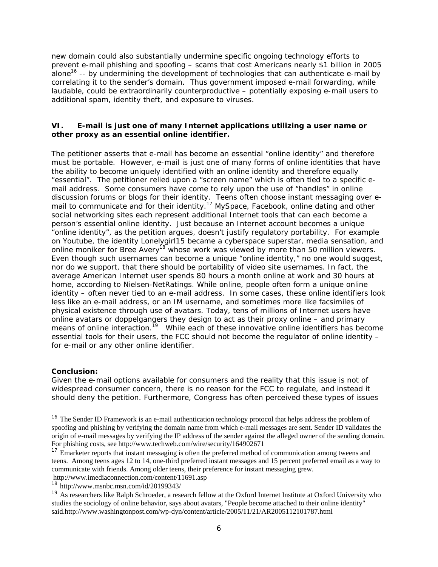new domain could also substantially undermine specific ongoing technology efforts to prevent e-mail phishing and spoofing – scams that cost Americans nearly \$1 billion in 2005 alone<sup>16</sup> -- by undermining the development of technologies that can authenticate e-mail by correlating it to the sender's domain. Thus government imposed e-mail forwarding, while laudable, could be extraordinarily counterproductive – potentially exposing e-mail users to additional spam, identity theft, and exposure to viruses.

## **VI. E-mail is just one of many Internet applications utilizing a user name or other proxy as an essential online identifier.**

The petitioner asserts that e-mail has become an essential "online identity" and therefore must be portable. However, e-mail is just one of many forms of online identities that have the ability to become uniquely identified with an online identity and therefore equally "essential". The petitioner relied upon a "screen name" which is often tied to a specific email address. Some consumers have come to rely upon the use of "handles" in online discussion forums or blogs for their identity. Teens often choose instant messaging over email to communicate and for their identity.<sup>17</sup> MySpace, Facebook, online dating and other social networking sites each represent additional Internet tools that can each become a person's essential online identity. Just because an Internet account becomes a unique "online identity", as the petition argues, doesn't justify regulatory portability. For example on Youtube, the identity Lonelygirl15 became a cyberspace superstar, media sensation, and online moniker for Bree Avery<sup>18</sup> whose work was viewed by more than 50 million viewers. Even though such usernames can become a unique "online identity," no one would suggest, nor do we support, that there should be portability of video site usernames. In fact, the average American Internet user spends 80 hours a month online at work and 30 hours at home, according to Nielsen-NetRatings. While online, people often form a unique online identity – often never tied to an e-mail address. In some cases, these online identifiers look less like an e-mail address, or an IM username, and sometimes more like facsimiles of physical existence through use of avatars. Today, tens of millions of Internet users have online avatars or doppelgangers they design to act as their proxy online – and primary means of online interaction.<sup>19</sup> While each of these innovative online identifiers has become essential tools for their users, the FCC should not become the regulator of online identity – for e-mail or any other online identifier.

#### **Conclusion:**

1

Given the e-mail options available for consumers and the reality that this issue is not of widespread consumer concern, there is no reason for the FCC to regulate, and instead it should deny the petition. Furthermore, Congress has often perceived these types of issues

<sup>&</sup>lt;sup>16</sup> The Sender ID Framework is an e-mail authentication technology protocol that helps address the problem of spoofing and phishing by verifying the domain name from which e-mail messages are sent. Sender ID validates the origin of e-mail messages by verifying the IP address of the sender against the alleged owner of the sending domain. For phishing costs, see http://www.techweb.com/wire/security/164902671

<sup>&</sup>lt;sup>17</sup> Emarketer reports that instant messaging is often the preferred method of communication among tweens and teens. Among teens ages 12 to 14, one-third preferred instant messages and 15 percent preferred email as a way to communicate with friends. Among older teens, their preference for instant messaging grew.

http://www.imediaconnection.com/content/11691.asp

<sup>18</sup> http://www.msnbc.msn.com/id/20199343/

<sup>&</sup>lt;sup>19</sup> As researchers like Ralph Schroeder, a research fellow at the Oxford Internet Institute at Oxford University who studies the sociology of online behavior, says about avatars, "People become attached to their online identity" said.http://www.washingtonpost.com/wp-dyn/content/article/2005/11/21/AR2005112101787.html